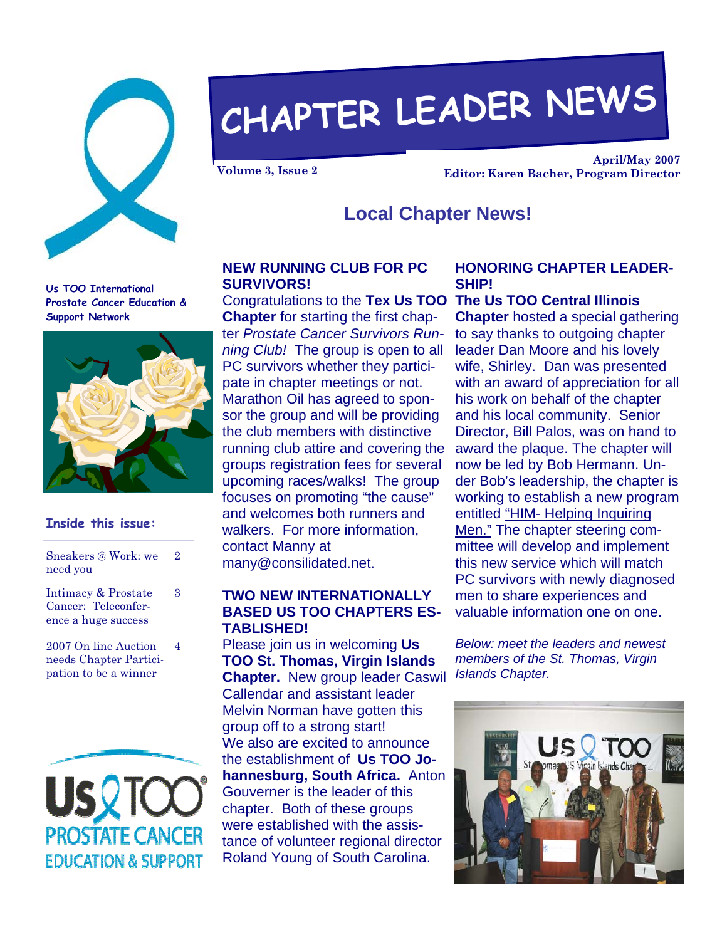

# **CHAPTER LEADER NEWS**

**April/May 2007 Volume 3, Issue 2 Editor: Karen Bacher, Program Director** 

### **Local Chapter News!**

**Us TOO International Prostate Cancer Education & Support Network** 



#### **Inside this issue:**

| Sneakers @ Work: we<br>need you                                   | 2 |
|-------------------------------------------------------------------|---|
| Intimacy & Prostate<br>Cancer: Teleconfer-<br>ence a huge success | 3 |
| 2007 On line Auction<br>needs Chapter Partici-                    | 4 |

needs Chapter Participation to be a winner



#### **NEW RUNNING CLUB FOR PC SURVIVORS!**

**Chapter** for starting the first chapter *Prostate Cancer Survivors Running Club!* The group is open to all PC survivors whether they participate in chapter meetings or not. Marathon Oil has agreed to sponsor the group and will be providing the club members with distinctive running club attire and covering the groups registration fees for several upcoming races/walks! The group focuses on promoting "the cause" and welcomes both runners and walkers. For more information, contact Manny at many@consilidated.net.

#### **TWO NEW INTERNATIONALLY BASED US TOO CHAPTERS ES-TABLISHED!**

Please join us in welcoming **Us TOO St. Thomas, Virgin Islands Chapter.** New group leader Caswil Callendar and assistant leader Melvin Norman have gotten this group off to a strong start! We also are excited to announce the establishment of **Us TOO Johannesburg, South Africa.** Anton Gouverner is the leader of this chapter. Both of these groups were established with the assistance of volunteer regional director Roland Young of South Carolina.

#### **HONORING CHAPTER LEADER-SHIP!**

#### Congratulations to the **Tex Us TOO The Us TOO Central Illinois**

**Chapter** hosted a special gathering to say thanks to outgoing chapter leader Dan Moore and his lovely wife, Shirley. Dan was presented with an award of appreciation for all his work on behalf of the chapter and his local community. Senior Director, Bill Palos, was on hand to award the plaque. The chapter will now be led by Bob Hermann. Under Bob's leadership, the chapter is working to establish a new program entitled "HIM- Helping Inquiring Men." The chapter steering committee will develop and implement this new service which will match PC survivors with newly diagnosed men to share experiences and valuable information one on one.

*Below: meet the leaders and newest members of the St. Thomas, Virgin Islands Chapter.* 

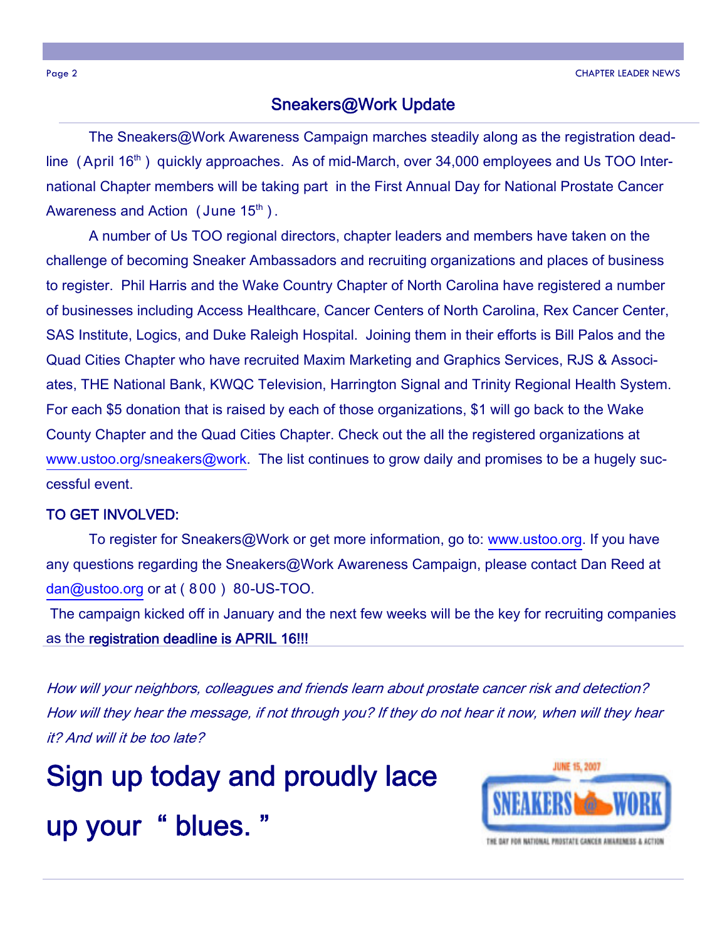#### Sneakers@Work Update

 The Sneakers@Work Awareness Campaign marches steadily along as the registration deadline (April 16<sup>th</sup>) quickly approaches. As of mid-March, over 34,000 employees and Us TOO International Chapter members will be taking part in the First Annual Day for National Prostate Cancer Awareness and Action (June  $15<sup>th</sup>$ ).

 A number of Us TOO regional directors, chapter leaders and members have taken on the challenge of becoming Sneaker Ambassadors and recruiting organizations and places of business to register. Phil Harris and the Wake Country Chapter of North Carolina have registered a number of businesses including Access Healthcare, Cancer Centers of North Carolina, Rex Cancer Center, SAS Institute, Logics, and Duke Raleigh Hospital. Joining them in their efforts is Bill Palos and the Quad Cities Chapter who have recruited Maxim Marketing and Graphics Services, RJS & Associates, THE National Bank, KWQC Television, Harrington Signal and Trinity Regional Health System. For each \$5 donation that is raised by each of those organizations, \$1 will go back to the Wake County Chapter and the Quad Cities Chapter. Check out the all the registered organizations at www.ustoo.org/sneakers@work. The list continues to grow daily and promises to be a hugely successful event.

#### TO GET INVOLVED:

 To register for Sneakers@Work or get more information, go to: www.ustoo.org. If you have any questions regarding the Sneakers@Work Awareness Campaign, please contact Dan Reed at dan@ustoo.org or at ( 8 00 ) 80-US-TOO.

 The campaign kicked off in January and the next few weeks will be the key for recruiting companies as the registration deadline is APRIL 16!!!

How will your neighbors, colleagues and friends learn about prostate cancer risk and detection? How will they hear the message, if not through you? If they do not hear it now, when will they hear it? And will it be too late?

Sign up today and proudly lace

# up your " blues.



THE DAY FOR NATIONAL PROSTATE CANCER ANGAREMENT A ACTIO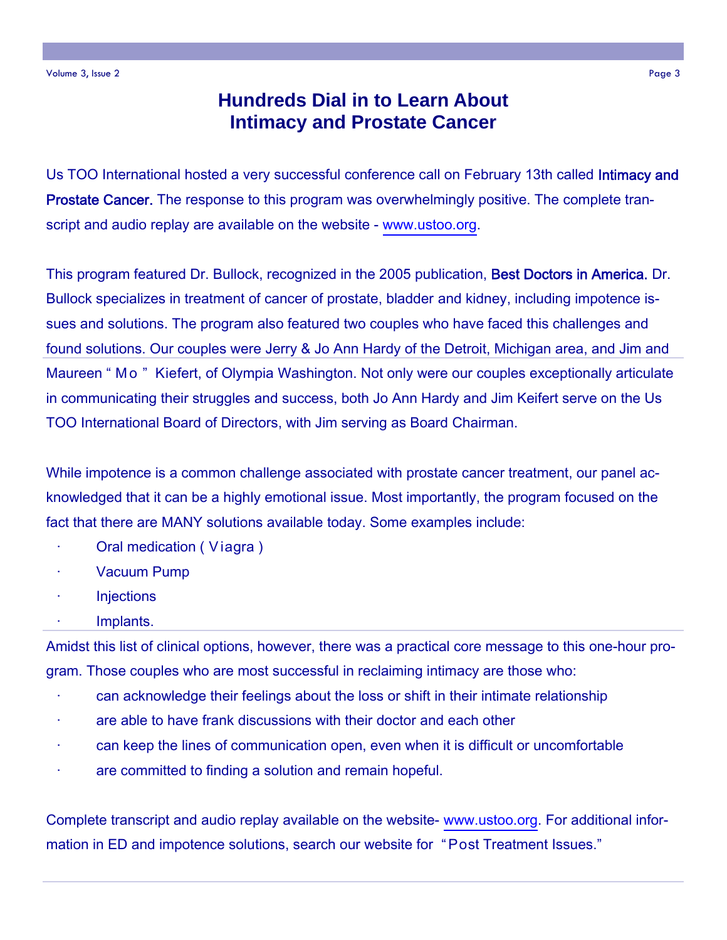## **Hundreds Dial in to Learn About Intimacy and Prostate Cancer**

Us TOO International hosted a very successful conference call on February 13th called Intimacy and **Prostate Cancer.** The response to this program was overwhelmingly positive. The complete transcript and audio replay are available on the website - www.ustoo.org.

This program featured Dr. Bullock, recognized in the 2005 publication, Best Doctors in America. Dr. Bullock specializes in treatment of cancer of prostate, bladder and kidney, including impotence issues and solutions. The program also featured two couples who have faced this challenges and found solutions. Our couples were Jerry & Jo Ann Hardy of the Detroit, Michigan area, and Jim and Maureen " Mo " Kiefert, of Olympia Washington. Not only were our couples exceptionally articulate in communicating their struggles and success, both Jo Ann Hardy and Jim Keifert serve on the Us TOO International Board of Directors, with Jim serving as Board Chairman.

While impotence is a common challenge associated with prostate cancer treatment, our panel acknowledged that it can be a highly emotional issue. Most importantly, the program focused on the fact that there are MANY solutions available today. Some examples include:

- · Oral medication ( V iagra )
- Vacuum Pump
- **Injections**
- · Implants.

Amidst this list of clinical options, however, there was a practical core message to this one-hour program. Those couples who are most successful in reclaiming intimacy are those who:

- can acknowledge their feelings about the loss or shift in their intimate relationship
- are able to have frank discussions with their doctor and each other
- · can keep the lines of communication open, even when it is difficult or uncomfortable
- are committed to finding a solution and remain hopeful.

Complete transcript and audio replay available on the website- www.ustoo.org. For additional information in ED and impotence solutions, search our website for "Post Treatment Issues."